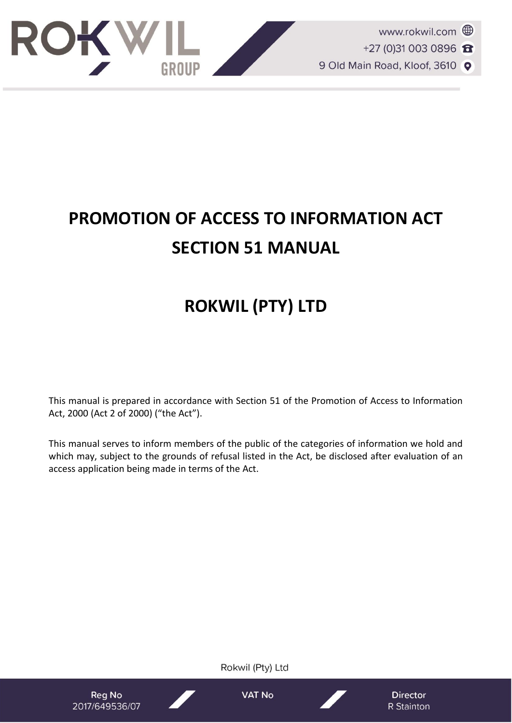

# **PROMOTION OF ACCESS TO INFORMATION ACT SECTION 51 MANUAL**

## **ROKWIL (PTY) LTD**

This manual is prepared in accordance with Section 51 of the Promotion of Access to Information Act, 2000 (Act 2 of 2000) ("the Act").

This manual serves to inform members of the public of the categories of information we hold and which may, subject to the grounds of refusal listed in the Act, be disclosed after evaluation of an access application being made in terms of the Act.

Rokwil (Pty) Ltd **VAT No Reg No Director** 2017/649536/07 R Stainton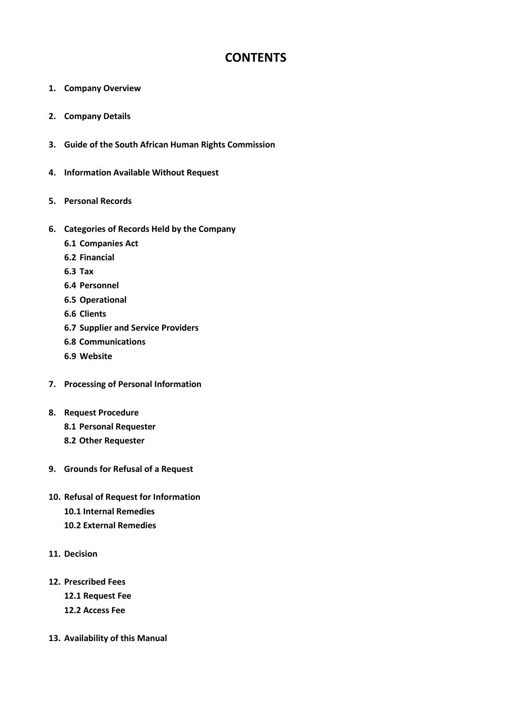### **CONTENTS**

- **1. Company Overview**
- **2. Company Details**
- **3. Guide of the South African Human Rights Commission**
- **4. Information Available Without Request**
- **5. Personal Records**
- **6. Categories of Records Held by the Company**
	- **6.1 Companies Act**
	- **6.2 Financial**
	- **6.3 Tax**
	- **6.4 Personnel**
	- **6.5 Operational**
	- **6.6 Clients**
	- **6.7 Supplier and Service Providers**
	- **6.8 Communications**
	- **6.9 Website**
- **7. Processing of Personal Information**
- **8. Request Procedure**
	- **8.1 Personal Requester**
	- **8.2 Other Requester**
- **9. Grounds for Refusal of a Request**
- **10. Refusal of Request for Information 10.1 Internal Remedies 10.2 External Remedies**
- **11. Decision**
- **12. Prescribed Fees 12.1 Request Fee 12.2 Access Fee**
- **13. Availability of this Manual**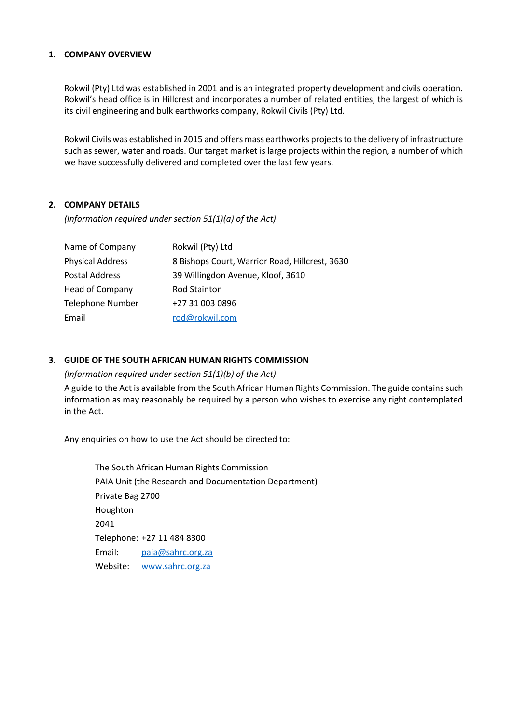#### **1. COMPANY OVERVIEW**

Rokwil (Pty) Ltd was established in 2001 and is an integrated property development and civils operation. Rokwil's head office is in Hillcrest and incorporates a number of related entities, the largest of which is its civil engineering and bulk earthworks company, Rokwil Civils (Pty) Ltd.

Rokwil Civils was established in 2015 and offers mass earthworks projects to the delivery of infrastructure such as sewer, water and roads. Our target market is large projects within the region, a number of which we have successfully delivered and completed over the last few years.

#### **2. COMPANY DETAILS**

*(Information required under section 51(1)(a) of the Act)*

| Name of Company         | Rokwil (Pty) Ltd                               |
|-------------------------|------------------------------------------------|
| <b>Physical Address</b> | 8 Bishops Court, Warrior Road, Hillcrest, 3630 |
| <b>Postal Address</b>   | 39 Willingdon Avenue, Kloof, 3610              |
| Head of Company         | Rod Stainton                                   |
| <b>Telephone Number</b> | +27 31 003 0896                                |
| Email                   | rod@rokwil.com                                 |

#### **3. GUIDE OF THE SOUTH AFRICAN HUMAN RIGHTS COMMISSION**

*(Information required under section 51(1)(b) of the Act)*

A guide to the Act is available from the South African Human Rights Commission. The guide contains such information as may reasonably be required by a person who wishes to exercise any right contemplated in the Act.

Any enquiries on how to use the Act should be directed to:

The South African Human Rights Commission PAIA Unit (the Research and Documentation Department) Private Bag 2700 Houghton 2041 Telephone: +27 11 484 8300 Email: [paia@sahrc.org.za](mailto:paia@sahrc.org.za) Website: [www.sahrc.org.za](http://www.sahrc.org.za/)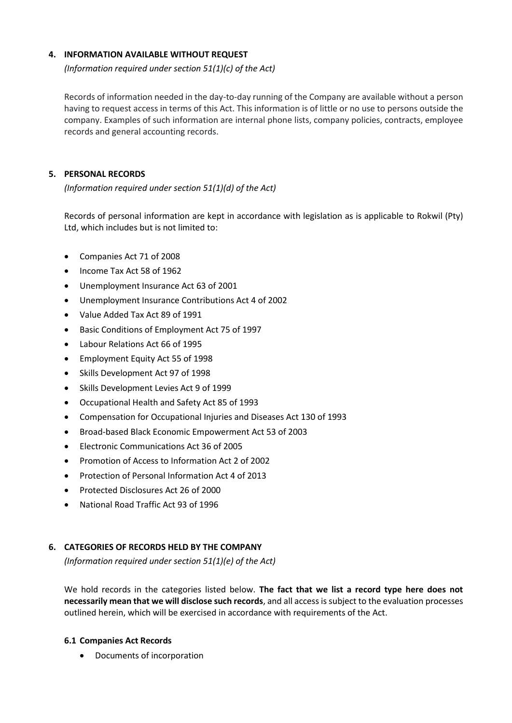#### **4. INFORMATION AVAILABLE WITHOUT REQUEST**

*(Information required under section 51(1)(c) of the Act)*

Records of information needed in the day-to-day running of the Company are available without a person having to request access in terms of this Act. This information is of little or no use to persons outside the company. Examples of such information are internal phone lists, company policies, contracts, employee records and general accounting records.

#### **5. PERSONAL RECORDS**

*(Information required under section 51(1)(d) of the Act)*

Records of personal information are kept in accordance with legislation as is applicable to Rokwil (Pty) Ltd, which includes but is not limited to:

- Companies Act 71 of 2008
- Income Tax Act 58 of 1962
- Unemployment Insurance Act 63 of 2001
- Unemployment Insurance Contributions Act 4 of 2002
- Value Added Tax Act 89 of 1991
- Basic Conditions of Employment Act 75 of 1997
- Labour Relations Act 66 of 1995
- Employment Equity Act 55 of 1998
- Skills Development Act 97 of 1998
- Skills Development Levies Act 9 of 1999
- Occupational Health and Safety Act 85 of 1993
- Compensation for Occupational Injuries and Diseases Act 130 of 1993
- Broad-based Black Economic Empowerment Act 53 of 2003
- Electronic Communications Act 36 of 2005
- Promotion of Access to Information Act 2 of 2002
- Protection of Personal Information Act 4 of 2013
- Protected Disclosures Act 26 of 2000
- National Road Traffic Act 93 of 1996

#### **6. CATEGORIES OF RECORDS HELD BY THE COMPANY**

*(Information required under section 51(1)(e) of the Act)*

We hold records in the categories listed below. **The fact that we list a record type here does not necessarily mean that we will disclose such records**, and all access is subject to the evaluation processes outlined herein, which will be exercised in accordance with requirements of the Act.

#### **6.1 Companies Act Records**

• Documents of incorporation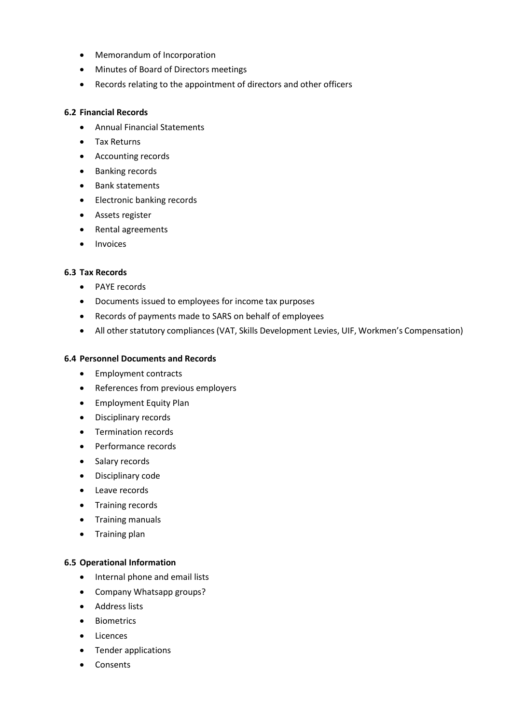- Memorandum of Incorporation
- Minutes of Board of Directors meetings
- Records relating to the appointment of directors and other officers

#### **6.2 Financial Records**

- Annual Financial Statements
- Tax Returns
- Accounting records
- Banking records
- Bank statements
- Electronic banking records
- Assets register
- Rental agreements
- Invoices

#### **6.3 Tax Records**

- PAYE records
- Documents issued to employees for income tax purposes
- Records of payments made to SARS on behalf of employees
- All other statutory compliances (VAT, Skills Development Levies, UIF, Workmen's Compensation)

#### **6.4 Personnel Documents and Records**

- Employment contracts
- References from previous employers
- Employment Equity Plan
- Disciplinary records
- Termination records
- Performance records
- Salary records
- Disciplinary code
- Leave records
- Training records
- Training manuals
- Training plan

#### **6.5 Operational Information**

- Internal phone and email lists
- Company Whatsapp groups?
- Address lists
- Biometrics
- Licences
- Tender applications
- Consents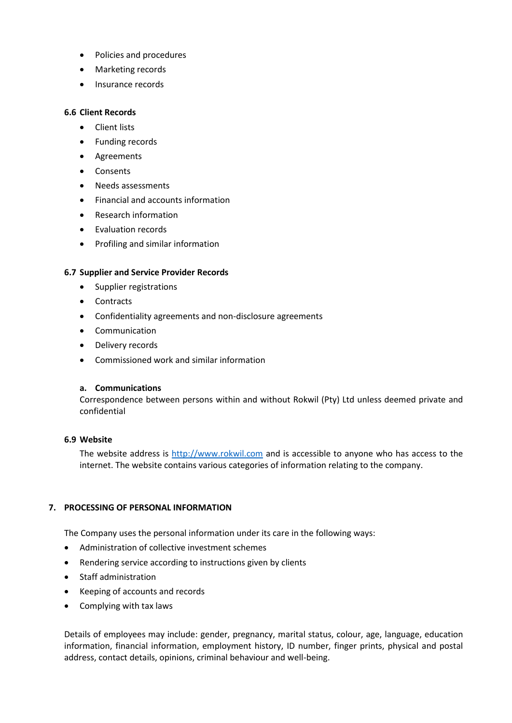- Policies and procedures
- Marketing records
- Insurance records

#### **6.6 Client Records**

- Client lists
- Funding records
- Agreements
- Consents
- Needs assessments
- Financial and accounts information
- Research information
- Evaluation records
- Profiling and similar information

#### **6.7 Supplier and Service Provider Records**

- Supplier registrations
- Contracts
- Confidentiality agreements and non-disclosure agreements
- Communication
- Delivery records
- Commissioned work and similar information

#### **a. Communications**

Correspondence between persons within and without Rokwil (Pty) Ltd unless deemed private and confidential

#### **6.9 Website**

The website address is [http://www.rokwil.com](http://www.rokwil.com/) and is accessible to anyone who has access to the internet. The website contains various categories of information relating to the company.

#### **7. PROCESSING OF PERSONAL INFORMATION**

The Company uses the personal information under its care in the following ways:

- Administration of collective investment schemes
- Rendering service according to instructions given by clients
- Staff administration
- Keeping of accounts and records
- Complying with tax laws

Details of employees may include: gender, pregnancy, marital status, colour, age, language, education information, financial information, employment history, ID number, finger prints, physical and postal address, contact details, opinions, criminal behaviour and well-being.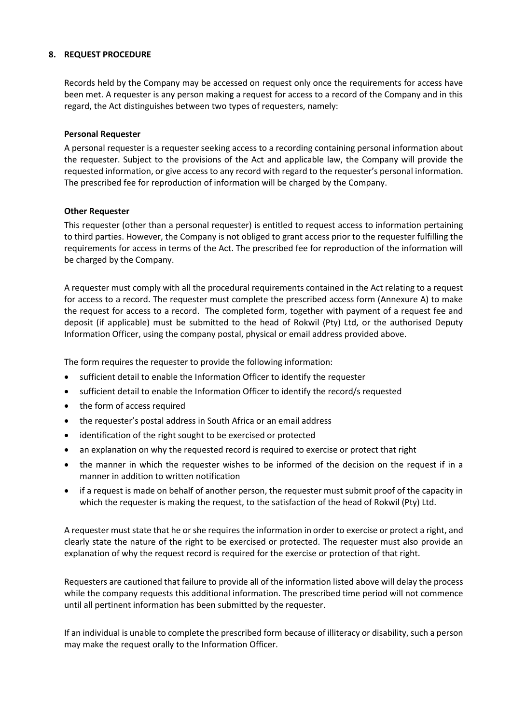#### **8. REQUEST PROCEDURE**

Records held by the Company may be accessed on request only once the requirements for access have been met. A requester is any person making a request for access to a record of the Company and in this regard, the Act distinguishes between two types of requesters, namely:

#### **Personal Requester**

A personal requester is a requester seeking access to a recording containing personal information about the requester. Subject to the provisions of the Act and applicable law, the Company will provide the requested information, or give access to any record with regard to the requester's personal information. The prescribed fee for reproduction of information will be charged by the Company.

#### **Other Requester**

This requester (other than a personal requester) is entitled to request access to information pertaining to third parties. However, the Company is not obliged to grant access prior to the requester fulfilling the requirements for access in terms of the Act. The prescribed fee for reproduction of the information will be charged by the Company.

A requester must comply with all the procedural requirements contained in the Act relating to a request for access to a record. The requester must complete the prescribed access form (Annexure A) to make the request for access to a record. The completed form, together with payment of a request fee and deposit (if applicable) must be submitted to the head of Rokwil (Pty) Ltd, or the authorised Deputy Information Officer, using the company postal, physical or email address provided above.

The form requires the requester to provide the following information:

- sufficient detail to enable the Information Officer to identify the requester
- sufficient detail to enable the Information Officer to identify the record/s requested
- the form of access required
- the requester's postal address in South Africa or an email address
- identification of the right sought to be exercised or protected
- an explanation on why the requested record is required to exercise or protect that right
- the manner in which the requester wishes to be informed of the decision on the request if in a manner in addition to written notification
- if a request is made on behalf of another person, the requester must submit proof of the capacity in which the requester is making the request, to the satisfaction of the head of Rokwil (Pty) Ltd.

A requester must state that he or she requires the information in order to exercise or protect a right, and clearly state the nature of the right to be exercised or protected. The requester must also provide an explanation of why the request record is required for the exercise or protection of that right.

Requesters are cautioned that failure to provide all of the information listed above will delay the process while the company requests this additional information. The prescribed time period will not commence until all pertinent information has been submitted by the requester.

If an individual is unable to complete the prescribed form because of illiteracy or disability, such a person may make the request orally to the Information Officer.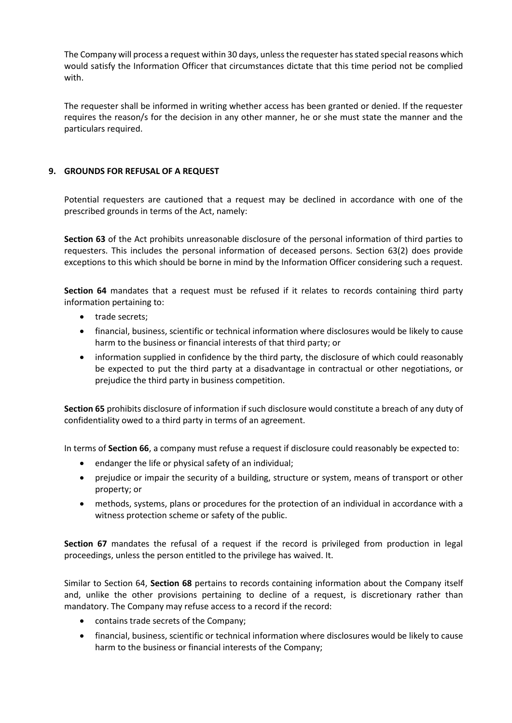The Company will process a request within 30 days, unless the requester has stated special reasons which would satisfy the Information Officer that circumstances dictate that this time period not be complied with.

The requester shall be informed in writing whether access has been granted or denied. If the requester requires the reason/s for the decision in any other manner, he or she must state the manner and the particulars required.

#### **9. GROUNDS FOR REFUSAL OF A REQUEST**

Potential requesters are cautioned that a request may be declined in accordance with one of the prescribed grounds in terms of the Act, namely:

**Section 63** of the Act prohibits unreasonable disclosure of the personal information of third parties to requesters. This includes the personal information of deceased persons. Section 63(2) does provide exceptions to this which should be borne in mind by the Information Officer considering such a request.

**Section 64** mandates that a request must be refused if it relates to records containing third party information pertaining to:

- trade secrets;
- financial, business, scientific or technical information where disclosures would be likely to cause harm to the business or financial interests of that third party; or
- information supplied in confidence by the third party, the disclosure of which could reasonably be expected to put the third party at a disadvantage in contractual or other negotiations, or prejudice the third party in business competition.

**Section 65** prohibits disclosure of information if such disclosure would constitute a breach of any duty of confidentiality owed to a third party in terms of an agreement.

In terms of **Section 66**, a company must refuse a request if disclosure could reasonably be expected to:

- endanger the life or physical safety of an individual;
- prejudice or impair the security of a building, structure or system, means of transport or other property; or
- methods, systems, plans or procedures for the protection of an individual in accordance with a witness protection scheme or safety of the public.

Section 67 mandates the refusal of a request if the record is privileged from production in legal proceedings, unless the person entitled to the privilege has waived. It.

Similar to Section 64, **Section 68** pertains to records containing information about the Company itself and, unlike the other provisions pertaining to decline of a request, is discretionary rather than mandatory. The Company may refuse access to a record if the record:

- contains trade secrets of the Company;
- financial, business, scientific or technical information where disclosures would be likely to cause harm to the business or financial interests of the Company;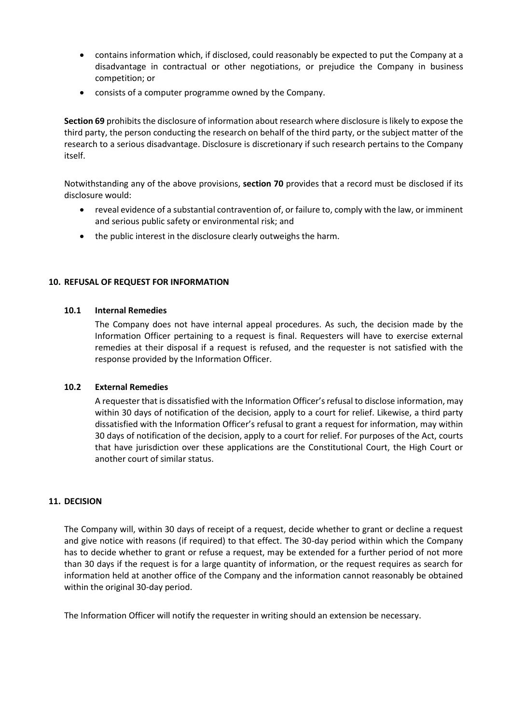- contains information which, if disclosed, could reasonably be expected to put the Company at a disadvantage in contractual or other negotiations, or prejudice the Company in business competition; or
- consists of a computer programme owned by the Company.

**Section 69** prohibits the disclosure of information about research where disclosure is likely to expose the third party, the person conducting the research on behalf of the third party, or the subject matter of the research to a serious disadvantage. Disclosure is discretionary if such research pertains to the Company itself.

Notwithstanding any of the above provisions, **section 70** provides that a record must be disclosed if its disclosure would:

- reveal evidence of a substantial contravention of, or failure to, comply with the law, or imminent and serious public safety or environmental risk; and
- the public interest in the disclosure clearly outweighs the harm.

#### **10. REFUSAL OF REQUEST FOR INFORMATION**

#### **10.1 Internal Remedies**

The Company does not have internal appeal procedures. As such, the decision made by the Information Officer pertaining to a request is final. Requesters will have to exercise external remedies at their disposal if a request is refused, and the requester is not satisfied with the response provided by the Information Officer.

#### **10.2 External Remedies**

A requester that is dissatisfied with the Information Officer's refusal to disclose information, may within 30 days of notification of the decision, apply to a court for relief. Likewise, a third party dissatisfied with the Information Officer's refusal to grant a request for information, may within 30 days of notification of the decision, apply to a court for relief. For purposes of the Act, courts that have jurisdiction over these applications are the Constitutional Court, the High Court or another court of similar status.

#### **11. DECISION**

The Company will, within 30 days of receipt of a request, decide whether to grant or decline a request and give notice with reasons (if required) to that effect. The 30-day period within which the Company has to decide whether to grant or refuse a request, may be extended for a further period of not more than 30 days if the request is for a large quantity of information, or the request requires as search for information held at another office of the Company and the information cannot reasonably be obtained within the original 30-day period.

The Information Officer will notify the requester in writing should an extension be necessary.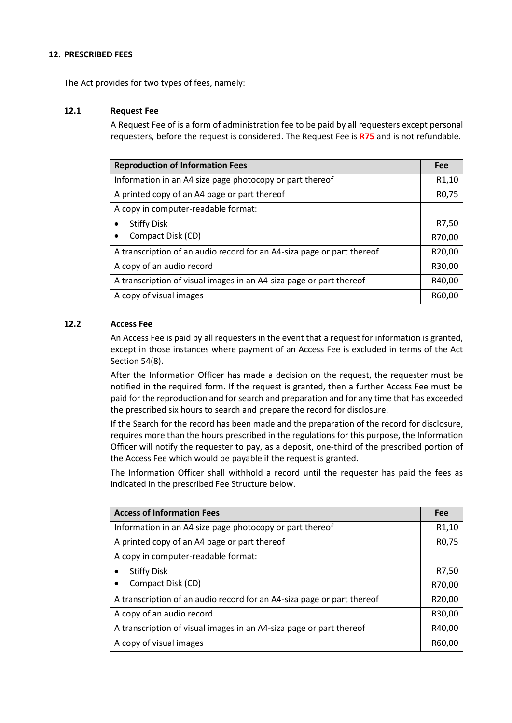#### **12. PRESCRIBED FEES**

The Act provides for two types of fees, namely:

#### **12.1 Request Fee**

A Request Fee of is a form of administration fee to be paid by all requesters except personal requesters, before the request is considered. The Request Fee is **R75** and is not refundable.

| <b>Reproduction of Information Fees</b>                                |        |
|------------------------------------------------------------------------|--------|
| Information in an A4 size page photocopy or part thereof               |        |
| A printed copy of an A4 page or part thereof                           |        |
| A copy in computer-readable format:                                    |        |
| <b>Stiffy Disk</b>                                                     | R7,50  |
| Compact Disk (CD)                                                      | R70,00 |
| A transcription of an audio record for an A4-siza page or part thereof |        |
| A copy of an audio record                                              |        |
| A transcription of visual images in an A4-siza page or part thereof    |        |
| A copy of visual images                                                |        |

#### **12.2 Access Fee**

An Access Fee is paid by all requesters in the event that a request for information is granted, except in those instances where payment of an Access Fee is excluded in terms of the Act Section 54(8).

After the Information Officer has made a decision on the request, the requester must be notified in the required form. If the request is granted, then a further Access Fee must be paid for the reproduction and for search and preparation and for any time that has exceeded the prescribed six hours to search and prepare the record for disclosure.

If the Search for the record has been made and the preparation of the record for disclosure, requires more than the hours prescribed in the regulations for this purpose, the Information Officer will notify the requester to pay, as a deposit, one-third of the prescribed portion of the Access Fee which would be payable if the request is granted.

The Information Officer shall withhold a record until the requester has paid the fees as indicated in the prescribed Fee Structure below.

| <b>Access of Information Fees</b>                                      |        |
|------------------------------------------------------------------------|--------|
| Information in an A4 size page photocopy or part thereof               |        |
| A printed copy of an A4 page or part thereof                           |        |
| A copy in computer-readable format:                                    |        |
| <b>Stiffy Disk</b>                                                     | R7,50  |
| Compact Disk (CD)                                                      | R70,00 |
| A transcription of an audio record for an A4-siza page or part thereof |        |
| A copy of an audio record                                              |        |
| A transcription of visual images in an A4-siza page or part thereof    |        |
| A copy of visual images                                                |        |